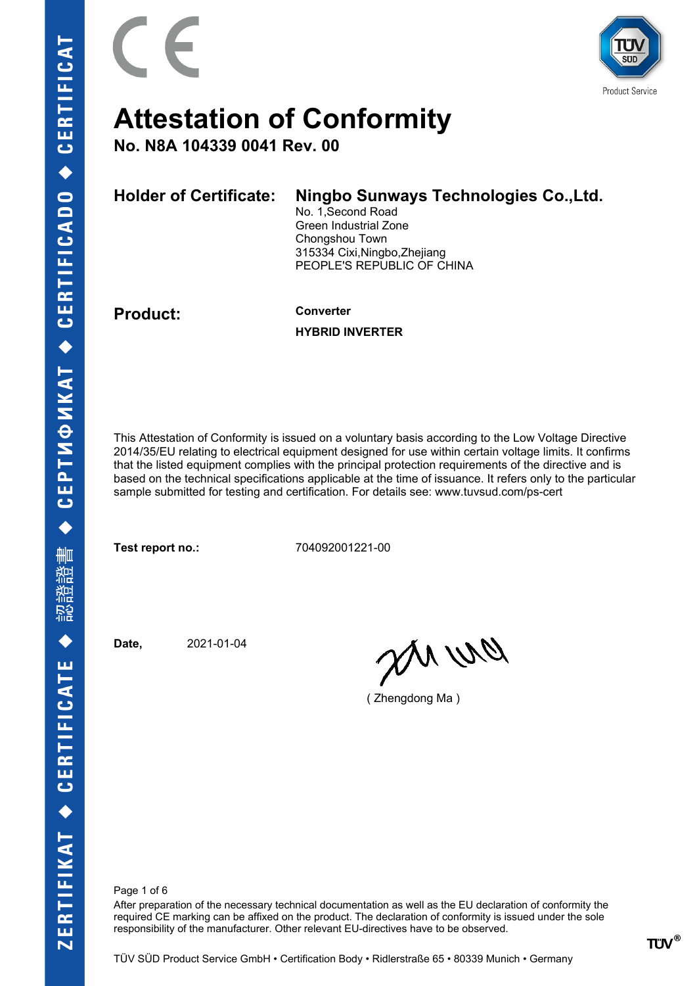

**No. N8A 104339 0041 Rev. 00**

| <b>Holder of Certificate:</b> | Ningbo Sunways Technologies Co., Ltd.<br>No. 1, Second Road<br>Green Industrial Zone<br>Chongshou Town<br>315334 Cixi, Ningbo, Zhejiang<br>PEOPLE'S REPUBLIC OF CHINA |
|-------------------------------|-----------------------------------------------------------------------------------------------------------------------------------------------------------------------|
|                               |                                                                                                                                                                       |

**Product: Converter**

**HYBRID INVERTER**

This Attestation of Conformity is issued on a voluntary basis according to the Low Voltage Directive 2014/35/EU relating to electrical equipment designed for use within certain voltage limits. It confirms that the listed equipment complies with the principal protection requirements of the directive and is based on the technical specifications applicable at the time of issuance. It refers only to the particular sample submitted for testing and certification. For details see: www.tuvsud.com/ps-cert

**Test report no.:** 704092001221-00

**Date,** 2021-01-04

ON WO

( Zhengdong Ma )

Page 1 of 6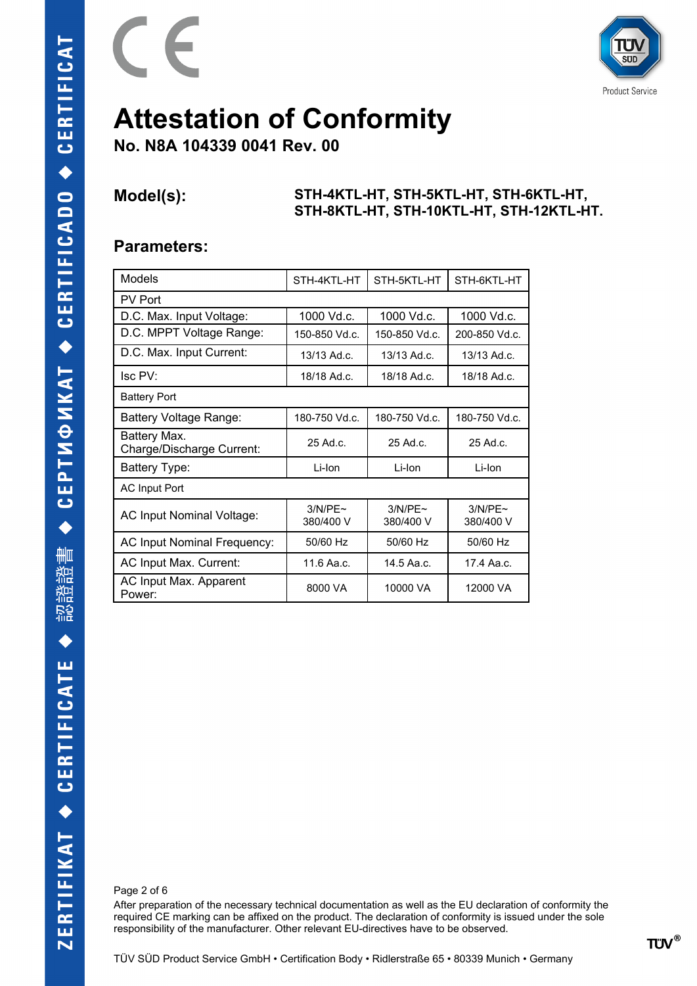

**Product Service** 

#### **Attestation of Conformity**

**No. N8A 104339 0041 Rev. 00**

#### **Model(s): STH-4KTL-HT, STH-5KTL-HT, STH-6KTL-HT, STH-8KTL-HT, STH-10KTL-HT, STH-12KTL-HT.**

#### **Parameters:**

E

| <b>Models</b>                             | STH-4KTL-HT             | STH-5KTL-HT             | STH-6KTL-HT             |
|-------------------------------------------|-------------------------|-------------------------|-------------------------|
| PV Port                                   |                         |                         |                         |
| D.C. Max. Input Voltage:                  | 1000 Vd.c.              | 1000 Vd.c.              | 1000 Vd.c.              |
| D.C. MPPT Voltage Range:                  | 150-850 Vd.c.           | 150-850 Vd.c.           | 200-850 Vd.c.           |
| D.C. Max. Input Current:                  | $13/13$ Ad.c.           | $13/13$ Ad.c.           | $13/13$ Ad.c.           |
| Isc PV:                                   | 18/18 Ad.c.             | 18/18 Ad.c.             | 18/18 Ad.c.             |
| <b>Battery Port</b>                       |                         |                         |                         |
| Battery Voltage Range:                    | 180-750 Vd.c.           | 180-750 Vd.c.           | 180-750 Vd.c.           |
| Battery Max.<br>Charge/Discharge Current: | $25$ Ad.c.              | $25$ Ad.c.              | $25$ Ad.c.              |
| Battery Type:                             | Li-Ion                  | I i-Ion                 | I i-Ion                 |
| <b>AC Input Port</b>                      |                         |                         |                         |
| AC Input Nominal Voltage:                 | $3/N/PF$ ~<br>380/400 V | $3/N/PF$ ~<br>380/400 V | $3/N/PF$ ~<br>380/400 V |
| <b>AC Input Nominal Frequency:</b>        | 50/60 Hz                | 50/60 Hz                | 50/60 Hz                |
| AC Input Max. Current:                    | 11.6 Aa.c.              | 14.5 Aa.c.              | 17.4 Aa.c.              |
| AC Input Max. Apparent<br>Power:          | 8000 VA                 | 10000 VA                | 12000 VA                |

Page 2 of 6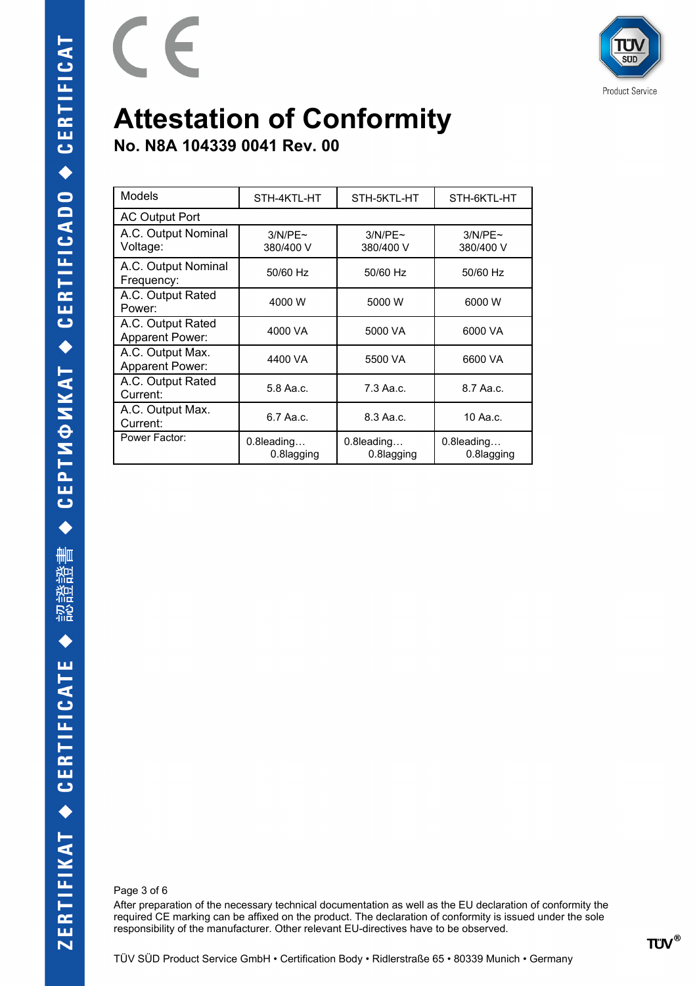

**No. N8A 104339 0041 Rev. 00**

E

| Models                                      | STH-4KTL-HT                 | STH-5KTL-HT                 | STH-6KTL-HT                 |
|---------------------------------------------|-----------------------------|-----------------------------|-----------------------------|
| <b>AC Output Port</b>                       |                             |                             |                             |
| A.C. Output Nominal<br>Voltage:             | 3/N/PE~<br>380/400 V        | 3/N/PE~<br>380/400 V        | 3/N/PE~<br>380/400 V        |
| A.C. Output Nominal<br>Frequency:           | 50/60 Hz                    | 50/60 Hz                    | 50/60 Hz                    |
| A.C. Output Rated<br>Power:                 | 4000 W                      | 5000 W                      | 6000 W                      |
| A.C. Output Rated<br><b>Apparent Power:</b> | 4000 VA                     | 5000 VA                     | 6000 VA                     |
| A.C. Output Max.<br><b>Apparent Power:</b>  | 4400 VA                     | 5500 VA                     | 6600 VA                     |
| A.C. Output Rated<br>Current:               | 5.8 Aa.c.                   | $7.3$ Aa.c.                 | 8.7 Aa.c.                   |
| A.C. Output Max.<br>Current:                | 6.7 Aa.c.                   | 8.3 Aa.c.                   | 10 Aa.c.                    |
| Power Factor:                               | $0.8$ leading<br>0.8lagging | $0.8$ leading<br>0.8lagging | $0.8$ leading<br>0.8lagging |

Page 3 of 6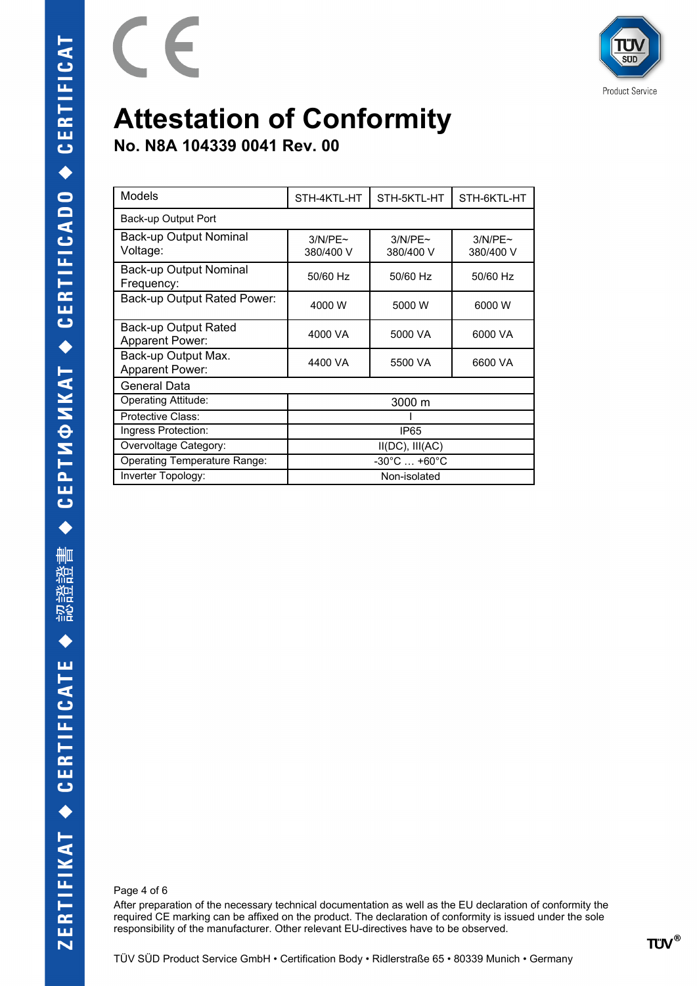

**No. N8A 104339 0041 Rev. 00**

E

| Models                                                | STH-4KTL-HT                       | STH-5KTL-HT          | STH-6KTL-HT          |
|-------------------------------------------------------|-----------------------------------|----------------------|----------------------|
| Back-up Output Port                                   |                                   |                      |                      |
| Back-up Output Nominal<br>Voltage:                    | 3/N/PE~<br>380/400 V              | 3/N/PE~<br>380/400 V | 3/N/PE~<br>380/400 V |
| Back-up Output Nominal<br>Frequency:                  | 50/60 Hz                          | 50/60 Hz             | 50/60 Hz             |
| Back-up Output Rated Power:                           | 4000 W                            | 5000 W               | 6000 W               |
| <b>Back-up Output Rated</b><br><b>Apparent Power:</b> | 4000 VA                           | 5000 VA              | 6000 VA              |
| Back-up Output Max.<br>Apparent Power:                | 4400 VA                           | 5500 VA              | 6600 VA              |
| General Data                                          |                                   |                      |                      |
| <b>Operating Attitude:</b>                            | 3000 m                            |                      |                      |
| Protective Class:                                     |                                   |                      |                      |
| Ingress Protection:                                   | IP <sub>65</sub>                  |                      |                      |
| Overvoltage Category:                                 | $II(DC)$ , $III(AC)$              |                      |                      |
| Operating Temperature Range:                          | $-30^{\circ}$ C  +60 $^{\circ}$ C |                      |                      |
| Inverter Topology:                                    | Non-isolated                      |                      |                      |

Page 4 of 6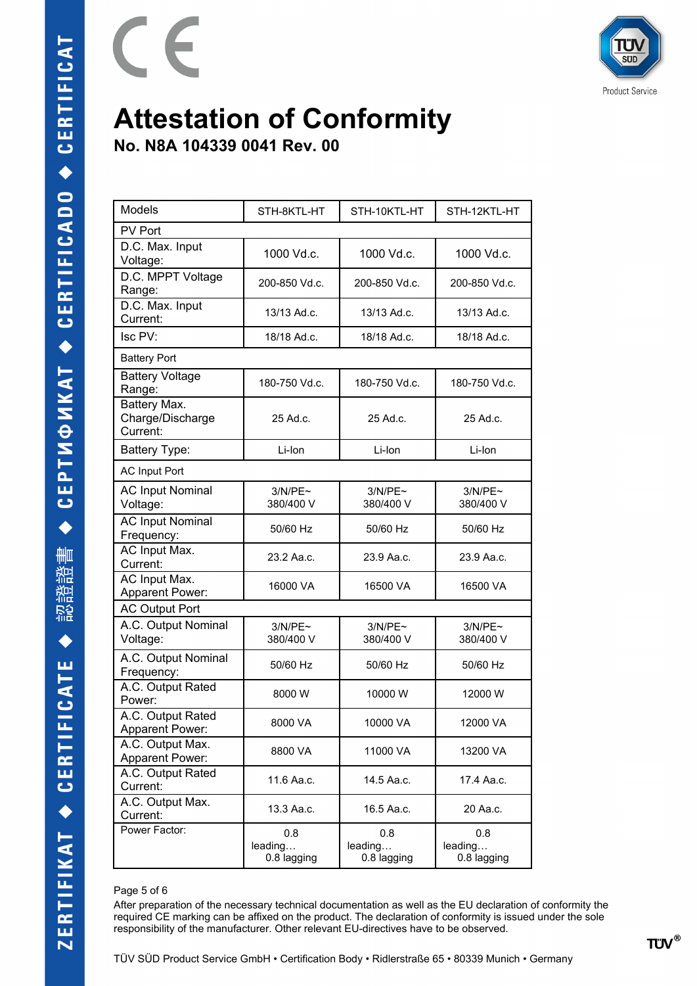

**No. N8A 104339 0041 Rev. 00**

E

| Models                                       | STH-8KTL-HT                   | STH-10KTL-HT                  | STH-12KTL-HT                  |
|----------------------------------------------|-------------------------------|-------------------------------|-------------------------------|
| PV Port                                      |                               |                               |                               |
| D.C. Max. Input<br>Voltage:                  | 1000 Vd.c.                    | 1000 Vd.c.                    | 1000 Vd.c.                    |
| D.C. MPPT Voltage<br>Range:                  | 200-850 Vd.c.                 | 200-850 Vd.c.                 | 200-850 Vd.c.                 |
| D.C. Max. Input<br>Current:                  | 13/13 Ad.c.                   | 13/13 Ad.c.                   | 13/13 Ad.c.                   |
| Isc PV:                                      | 18/18 Ad.c.                   | 18/18 Ad.c.                   | 18/18 Ad.c.                   |
| <b>Battery Port</b>                          |                               |                               |                               |
| <b>Battery Voltage</b><br>Range:             | 180-750 Vd.c.                 | 180-750 Vd.c.                 | 180-750 Vd.c.                 |
| Battery Max.<br>Charge/Discharge<br>Current: | 25 Ad.c.                      | 25 Ad.c.                      | 25 Ad.c.                      |
| <b>Battery Type:</b>                         | Li-Ion                        | Li-Ion                        | Li-Ion                        |
| <b>AC Input Port</b>                         |                               |                               |                               |
| <b>AC Input Nominal</b><br>Voltage:          | 3/N/PE~<br>380/400 V          | 3/N/PE~<br>380/400 V          | 3/N/PE~<br>380/400 V          |
| <b>AC Input Nominal</b><br>Frequency:        | 50/60 Hz                      | 50/60 Hz                      | 50/60 Hz                      |
| AC Input Max.<br>Current:                    | 23.2 Aa.c.                    | 23.9 Aa.c.                    | 23.9 Aa.c.                    |
| AC Input Max.<br>Apparent Power:             | 16000 VA                      | 16500 VA                      | 16500 VA                      |
| <b>AC Output Port</b>                        |                               |                               |                               |
| A.C. Output Nominal<br>Voltage:              | 3/N/PE~<br>380/400 V          | 3/N/PE~<br>380/400 V          | 3/N/PE~<br>380/400 V          |
| A.C. Output Nominal<br>Frequency:            | 50/60 Hz                      | 50/60 Hz                      | 50/60 Hz                      |
| A.C. Output Rated<br>Power:                  | 8000 W                        | 10000 W                       | 12000 W                       |
| A.C. Output Rated<br>Apparent Power:         | 8000 VA                       | 10000 VA                      | 12000 VA                      |
| A.C. Output Max.<br>Apparent Power:          | 8800 VA                       | 11000 VA                      | 13200 VA                      |
| A.C. Output Rated<br>Current:                | 11.6 Aa.c.                    | 14.5 Aa.c.                    | 17.4 Aa.c.                    |
| A.C. Output Max.<br>Current:                 | 13.3 Aa.c.                    | 16.5 Aa.c.                    | 20 Aa.c.                      |
| Power Factor:                                | 0.8<br>leading<br>0.8 lagging | 0.8<br>leading<br>0.8 lagging | 0.8<br>leading<br>0.8 lagging |

#### Page 5 of 6